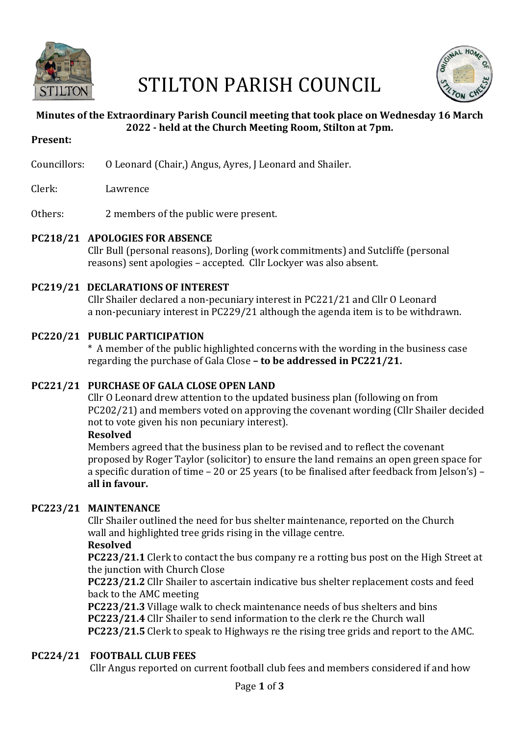

# STILTON PARISH COUNCIL



# **Minutes of the Extraordinary Parish Council meeting that took place on Wednesday 16 March 2022 - held at the Church Meeting Room, Stilton at 7pm.**

- **Present:**
- Councillors: 0 Leonard (Chair,) Angus, Ayres, J Leonard and Shailer.
- Clerk: Lawrence
- Others: 2 members of the public were present.

# **PC218/21 APOLOGIES FOR ABSENCE**

Cllr Bull (personal reasons), Dorling (work commitments) and Sutcliffe (personal reasons) sent apologies – accepted. Cllr Lockyer was also absent.

# **PC219/21 DECLARATIONS OF INTEREST**

Cllr Shailer declared a non-pecuniary interest in PC221/21 and Cllr O Leonard a non-pecuniary interest in PC229/21 although the agenda item is to be withdrawn.

#### **PC220/21 PUBLIC PARTICIPATION**

 \* A member of the public highlighted concerns with the wording in the business case regarding the purchase of Gala Close – **to be addressed in PC221/21.** 

# **PC221/21 PURCHASE OF GALA CLOSE OPEN LAND**

Cllr O Leonard drew attention to the updated business plan (following on from PC202/21) and members voted on approving the covenant wording (Cllr Shailer decided not to vote given his non pecuniary interest).

#### **Resolved**

Members agreed that the business plan to be revised and to reflect the covenant proposed by Roger Taylor (solicitor) to ensure the land remains an open green space for a specific duration of time – 20 or 25 years (to be finalised after feedback from Jelson's) – **all in favour.**

# **PC223/21 MAINTENANCE**

Cllr Shailer outlined the need for bus shelter maintenance, reported on the Church wall and highlighted tree grids rising in the village centre.

#### **Resolved**

**PC223/21.1** Clerk to contact the bus company re a rotting bus post on the High Street at the junction with Church Close

**PC223/21.2** Cllr Shailer to ascertain indicative bus shelter replacement costs and feed back to the AMC meeting

**PC223/21.3** Village walk to check maintenance needs of bus shelters and bins **PC223/21.4** Cllr Shailer to send information to the clerk re the Church wall **PC223/21.5** Clerk to speak to Highways re the rising tree grids and report to the AMC.

# **PC224/21 FOOTBALL CLUB FEES**

Cllr Angus reported on current football club fees and members considered if and how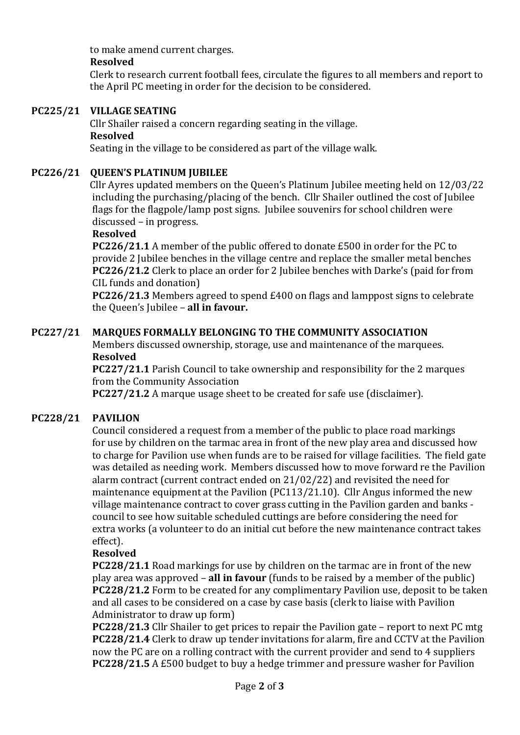to make amend current charges.

# **Resolved**

Clerk to research current football fees, circulate the figures to all members and report to the April PC meeting in order for the decision to be considered.

# **PC225/21 VILLAGE SEATING**

Cllr Shailer raised a concern regarding seating in the village. **Resolved**

Seating in the village to be considered as part of the village walk.

#### **PC226/21 OUEEN'S PLATINUM JUBILEE**

Cllr Ayres updated members on the Queen's Platinum Jubilee meeting held on 12/03/22 including the purchasing/placing of the bench. Cllr Shailer outlined the cost of Iubilee flags for the flagpole/lamp post signs. Jubilee souvenirs for school children were discussed – in progress.

#### **Resolved**

**PC226/21.1** A member of the public offered to donate £500 in order for the PC to provide 2 Jubilee benches in the village centre and replace the smaller metal benches **PC226/21.2** Clerk to place an order for 2 Jubilee benches with Darke's (paid for from CIL funds and donation)

**PC226/21.3** Members agreed to spend £400 on flags and lamppost signs to celebrate the Queen's Jubilee - all in favour.

#### **PC227/21 MARQUES FORMALLY BELONGING TO THE COMMUNITY ASSOCIATION**

Members discussed ownership, storage, use and maintenance of the marquees. **Resolved** 

**PC227/21.1** Parish Council to take ownership and responsibility for the 2 marques from the Community Association

**PC227/21.2** A marque usage sheet to be created for safe use (disclaimer).

# PC228/21 PAVILION

Council considered a request from a member of the public to place road markings for use by children on the tarmac area in front of the new play area and discussed how to charge for Pavilion use when funds are to be raised for village facilities. The field gate was detailed as needing work. Members discussed how to move forward re the Pavilion alarm contract (current contract ended on  $21/02/22$ ) and revisited the need for maintenance equipment at the Pavilion  $(PC113/21.10)$ . Cllr Angus informed the new village maintenance contract to cover grass cutting in the Pavilion garden and banks council to see how suitable scheduled cuttings are before considering the need for extra works (a volunteer to do an initial cut before the new maintenance contract takes effect).

#### **Resolved**

**PC228/21.1** Road markings for use by children on the tarmac are in front of the new play area was approved – **all in favour** (funds to be raised by a member of the public) **PC228/21.2** Form to be created for any complimentary Pavilion use, deposit to be taken and all cases to be considered on a case by case basis (clerk to liaise with Pavilion Administrator to draw up form)

**PC228/21.3** Cllr Shailer to get prices to repair the Pavilion gate – report to next PC mtg **PC228/21.4** Clerk to draw up tender invitations for alarm, fire and CCTV at the Pavilion now the PC are on a rolling contract with the current provider and send to 4 suppliers **PC228/21.5** A £500 budget to buy a hedge trimmer and pressure washer for Pavilion